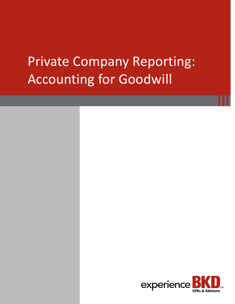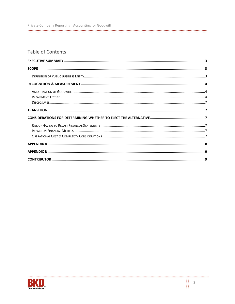| Private Company Reporting: Accounting for Goodwill |
|----------------------------------------------------|
|                                                    |

# Table of Contents

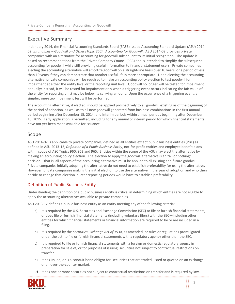## <span id="page-2-0"></span>Executive Summary

In January 2014, the Financial Accounting Standards Board (FASB) issued Accounting Standard Update (ASU) 2014- 02, *Intangibles – Goodwill and Other (Topic 350): Accounting for Goodwill*. ASU 2014-02 provides private companies with an alternative for accounting for goodwill subsequent to its initial recognition. The update is based on recommendations from the Private Company Council (PCC) and is intended to simplify the subsequent accounting for goodwill while still providing useful information to financial statement users. Private companies electing the accounting alternative will amortize goodwill on a straight-line basis over 10 years, or a period of less than 10 years if they can demonstrate that another useful life is more appropriate. Upon electing the accounting alternative, private companies will be required to make an accounting policy election to test goodwill for impairment at either the entity level or the reporting unit level. Goodwill no longer will be tested for impairment annually; instead, it will be tested for impairment only when a triggering event occurs indicating the fair value of the entity (or reporting unit) may be below its carrying amount. Upon the occurrence of a triggering event, a simpler, one-step impairment test will be performed.

The accounting alternative, if elected, should be applied prospectively to all goodwill existing as of the beginning of the period of adoption, as well as to all new goodwill generated from business combinations in the first annual period beginning after December 15, 2014, and interim periods within annual periods beginning after December 15, 2015. Early application is permitted, including for any annual or interim period for which financial statements have not yet been made available for issuance.

## <span id="page-2-1"></span>Scope

ASU 2014-02 is applicable to private companies, defined as all entities except public business entities (PBE) as defined in ASU 2013-12, *Definition of a Public Business Entity*, not-for-profit entities and employee benefit plans within scope of ASC Topics 960, 962 and 965. Entities within the scope of the ASU may elect the alternative by making an accounting policy election. The election to apply the goodwill alternative is an "all or nothing" decision—that is, all aspects of the accounting alternative must be applied to all existing and future goodwill. Private companies initially adopting the alternative do not need to establish preferability for using the alternative. However, private companies making the initial election to use the alternative in the year of adoption and who then decide to change that election in later reporting periods would have to establish preferability.

### <span id="page-2-2"></span>Definition of Public Business Entity

Understanding the definition of a public business entity is critical in determining which entities are not eligible to apply the accounting alternatives available to private companies.

ASU 2013-12 defines a public business entity as an entity meeting any of the following criteria:

- a) It is required by the U.S. Securities and Exchange Commission (SEC) to file or furnish financial statements, or does file or furnish financial statements (including voluntary filers) with the SEC—including other entities for which financial statements or financial information are required to be or are included in a filing.
- b) It is required by the *Securities Exchange Act of 1934*, as amended, or rules or regulations promulgated under the act, to file or furnish financial statements with a regulatory agency other than the SEC.
- c) It is required to file or furnish financial statements with a foreign or domestic regulatory agency in preparation for sale of, or for purposes of issuing, securities not subject to contractual restrictions on transfer.
- d) It has issued, or is a conduit bond obligor for, securities that are traded, listed or quoted on an exchange or an over-the-counter market.
- e) It has one or more securities not subject to contractual restrictions on transfer and is required by law,



**Hilling**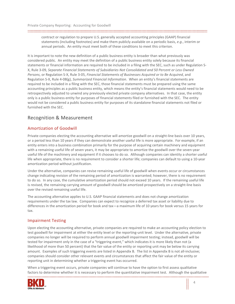contract or regulation to prepare U.S. generally accepted accounting principles (GAAP) financial statements (including footnotes) and make them publicly available on a periodic basis, *e.g.*, interim or annual periods. An entity must meet both of these conditions to meet this criterion.

It is important to note the new definition of a public business entity is broader than what previously was considered public. An entity may meet the definition of a public business entity solely because its financial statements or financial information are required to be included in a filing with the SEC, such as under Regulation S-X, Rule 3-09, *Separate Financial Statements of Subsidiaries Not Consolidated and 50 Percent or Less Owned Persons*, or Regulation S-X, Rule 3-05, *Financial Statements of Businesses Acquired or to Be Acquired*, and Regulation S-X, Rule 4-08(g), *Summarized Financial Information*. When an entity's financial statements are required to be included in a filing with the SEC, those financial statements must be prepared using the same accounting principles as a public business entity, which means the entity's financial statements would need to be retrospectively adjusted to unwind any previously elected private company alternatives. In that case, the entity only is a public business entity for purposes of financial statements filed or furnished with the SEC. The entity would not be considered a public business entity for purposes of its standalone financial statements not filed or furnished with the SEC.

## <span id="page-3-0"></span>Recognition & Measurement

#### <span id="page-3-1"></span>Amortization of Goodwill

Private companies electing the accounting alternative will amortize goodwill on a straight-line basis over 10 years, or a period less than 10 years if they can demonstrate another useful life is more appropriate. For example, if an entity enters into a business combination primarily for the purpose of acquiring certain machinery and equipment with a remaining useful life of seven years, it may be appropriate to amortize the goodwill over the seven-year useful life of the machinery and equipment if it chooses to do so. Although companies can identity a shorter useful life when appropriate, there is no requirement to consider a shorter life; companies can default to using a 10-year amortization period without justification.

Under the alternative, companies can revise remaining useful life of goodwill when events occur or circumstances change indicating revision of the remaining period of amortization is warranted; however, there is no requirement to do so. In any case, the cumulative amortization period should not exceed 10 years. If the remaining useful life is revised, the remaining carrying amount of goodwill should be amortized prospectively on a straight-line basis over the revised remaining useful life.

The accounting alternative applies to U.S. GAAP financial statements and does not change amortization requirements under the tax law. Companies can expect to recognize a deferred tax asset or liability due to differences in the amortization period for book and tax—a maximum life of 10 years for book versus 15 years for tax.

#### <span id="page-3-2"></span>Impairment Testing

Upon electing the accounting alternative, private companies are required to make an accounting policy election to test goodwill for impairment at either the entity level or the reporting-unit level. Under the alternative, private companies no longer will be required to perform annual goodwill impairment testing; instead, goodwill will be tested for impairment only in the case of a "triggering event," which indicates it is more likely than not (a likelihood of more than 50 percent) that the fair value of the entity or reporting unit may be below its carrying amount. Examples of such triggering events are listed in Appendix B. The list in Appendix B is not all-inclusive; companies should consider other relevant events and circumstances that affect the fair value of the entity or reporting unit in determining whether a triggering event has occurred.

When a triggering event occurs, private companies will continue to have the option to first assess qualitative factors to determine whether it is necessary to perform the quantitative impairment test. Although the qualitative 



**Hilling**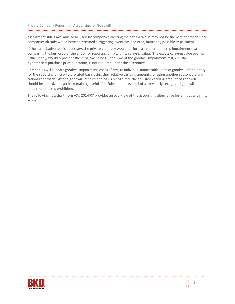#### 

assessment still is available to be used by companies electing the alternative, it may not be the best approach since companies already would have determined a triggering event has occurred, indicating possible impairment.

If the quantitative test is necessary, the private company would perform a simpler, one-step impairment test comparing the fair value of the entity (or reporting unit) with its carrying value. The excess carrying value over fair value, if any, would represent the impairment loss. Step Two of the goodwill impairment test, *i.e.*, the hypothetical purchase price allocation, is not required under the alternative.

Companies will allocate goodwill impairment losses, if any, to individual amortizable units of goodwill of the entity (or the reporting unit) on a prorated basis using their relative carrying amounts, or using another reasonable and rational approach. After a goodwill impairment loss is recognized, the adjusted carrying amount of goodwill should be amortized over its remaining useful life. Subsequent reversal of a previously recognized goodwill impairment loss is prohibited.

The following flowchart from ASU 2014-07 provides an overview of the accounting alternative for entities within its scope.

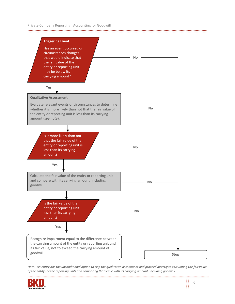

*Note: An entity has the unconditional option to skip the qualitative assessment and proceed directly to calculating the fair value of the entity (or the reporting unit) and comparing that value with its carrying amount, including goodwill.*

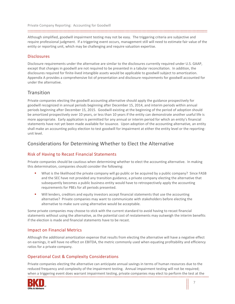Although simplified, goodwill impairment testing may not be easy. The triggering criteria are subjective and require professional judgment. If a triggering event occurs, management still will need to estimate fair value of the entity or reporting unit, which may be challenging and require valuation expertise.

#### <span id="page-6-0"></span>**Disclosures**

Disclosure requirements under the alternative are similar to the disclosures currently required under U.S. GAAP, except that changes in goodwill are not required to be presented in a tabular reconciliation. In addition, the disclosures required for finite-lived intangible assets would be applicable to goodwill subject to amortization. Appendix A provides a comprehensive list of presentation and disclosure requirements for goodwill accounted for under the alternative.

## <span id="page-6-1"></span>**Transition**

Private companies electing the goodwill accounting alternative should apply the guidance prospectively for goodwill recognized in annual periods beginning after December 15, 2014, and interim periods within annual periods beginning after December 15, 2015. Goodwill existing at the beginning of the period of adoption should be amortized prospectively over 10 years, or less than 10 years if the entity can demonstrate another useful life is more appropriate. Early application is permitted for any annual or interim period for which an entity's financial statements have not yet been made available for issuance. Upon adoption of the accounting alternative, an entity shall make an accounting policy election to test goodwill for impairment at either the entity level or the reportingunit level.

## <span id="page-6-2"></span>Considerations for Determining Whether to Elect the Alternative

#### <span id="page-6-3"></span>Risk of Having to Recast Financial Statements

Private companies should be cautious when determining whether to elect the accounting alternative. In making this determination, companies should consider the following:

- What is the likelihood the private company will go public or be acquired by a public company? Since FASB and the SEC have not provided any transition guidance, a private company electing the alternative that subsequently becomes a public business entity would have to retrospectively apply the accounting requirements for PBEs for all periods presented.
- Will lenders, creditors and equity investors accept financial statements that use the accounting alternative? Private companies may want to communicate with stakeholders before electing the alternative to make sure using alternative would be acceptable.

Some private companies may choose to stick with the current standard to avoid having to recast financial statements without using the alternative, as the potential cost of restatements may outweigh the interim benefits if the election is made and financial statements have to be recast.

#### <span id="page-6-4"></span>Impact on Financial Metrics

Although the additional amortization expense that results from electing the alternative will have a negative effect on earnings, it will have no effect on EBITDA, the metric commonly used when equating profitability and efficiency ratios for a private company.

#### <span id="page-6-5"></span>Operational Cost & Complexity Considerations

Private companies electing the alternative can anticipate annual savings in terms of human resources due to the reduced frequency and complexity of the impairment testing. Annual impairment testing will not be required; when a triggering event does warrant impairment testing, private companies may elect to perform the test at the



li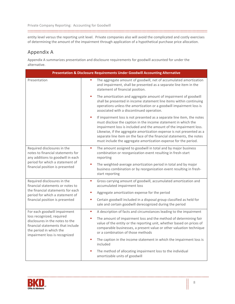entity level versus the reporting unit level. Private companies also will avoid the complicated and costly exercises of determining the amount of the impairment through application of a hypothetical purchase price allocation.

## <span id="page-7-0"></span>Appendix A

Appendix A summarizes presentation and disclosure requirements for goodwill accounted for under the alternative.

| Presentation & Disclosure Requirements Under Goodwill Accounting Alternative                                                                                                |                                                                                                                                                                                                                                                                                                                                                                                                                                          |  |
|-----------------------------------------------------------------------------------------------------------------------------------------------------------------------------|------------------------------------------------------------------------------------------------------------------------------------------------------------------------------------------------------------------------------------------------------------------------------------------------------------------------------------------------------------------------------------------------------------------------------------------|--|
| Presentation                                                                                                                                                                | The aggregate amount of goodwill, net of accumulated amortization<br>and impairment, shall be presented as a separate line item in the<br>statement of financial position.                                                                                                                                                                                                                                                               |  |
|                                                                                                                                                                             | The amortization and aggregate amount of impairment of goodwill<br>٠<br>shall be presented in income statement line items within continuing<br>operations unless the amortization or a goodwill impairment loss is<br>associated with a discontinued operation.                                                                                                                                                                          |  |
|                                                                                                                                                                             | ×<br>If impairment loss is not presented as a separate line item, the notes<br>must disclose the caption in the income statement in which the<br>impairment loss is included and the amount of the impairment loss.<br>Likewise, if the aggregate amortization expense is not presented as a<br>separate line item on the face of the financial statements, the notes<br>must include the aggregate amortization expense for the period. |  |
| Required disclosures in the<br>notes to financial statements for<br>any additions to goodwill in each<br>period for which a statement of<br>financial position is presented | The amount assigned to goodwill in total and by major business<br>×,<br>combination or reorganization event resulting in fresh-start<br>reporting                                                                                                                                                                                                                                                                                        |  |
|                                                                                                                                                                             | The weighted-average amortization period in total and by major<br>business combination or by reorganization event resulting in fresh-<br>start reporting                                                                                                                                                                                                                                                                                 |  |
| Required disclosures in the<br>financial statements or notes to<br>the financial statements for each<br>period for which a statement of<br>financial position is presented  | Gross carrying amount of goodwill, accumulated amortization and<br>ш<br>accumulated impairment loss                                                                                                                                                                                                                                                                                                                                      |  |
|                                                                                                                                                                             | Aggregate amortization expense for the period                                                                                                                                                                                                                                                                                                                                                                                            |  |
|                                                                                                                                                                             | Certain goodwill included in a disposal group classified as held for<br>٠<br>sale and certain goodwill derecognized during the period                                                                                                                                                                                                                                                                                                    |  |
| For each goodwill impairment                                                                                                                                                | A description of facts and circumstances leading to the impairment<br>a,                                                                                                                                                                                                                                                                                                                                                                 |  |
| loss recognized, required<br>disclosures in the notes to the<br>financial statements that include<br>the period in which the<br>impairment loss is recognized               | The amount of impairment loss and the method of determining fair<br>a,<br>value of the entity or the reporting unit, whether based on prices of<br>comparable businesses, a present value or other valuation technique<br>or a combination of those methods                                                                                                                                                                              |  |
|                                                                                                                                                                             | The caption in the income statement in which the impairment loss is<br>٠<br>included                                                                                                                                                                                                                                                                                                                                                     |  |
|                                                                                                                                                                             | The method of allocating impairment loss to the individual<br>٠<br>amortizable units of goodwill                                                                                                                                                                                                                                                                                                                                         |  |